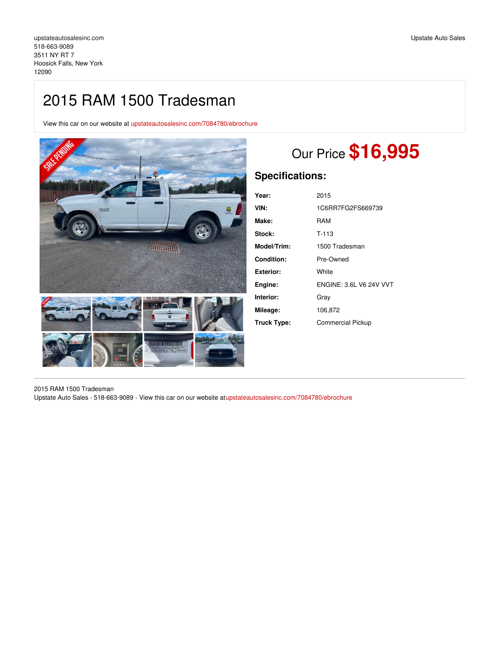## 2015 RAM 1500 Tradesman

View this car on our website at [upstateautosalesinc.com/7084780/ebrochure](https://upstateautosalesinc.com/vehicle/7084780/2015-ram-1500-tradesman-hoosick-falls-new-york-12090/7084780/ebrochure)



# Our Price **\$16,995**

## **Specifications:**

| Year:       | 2015                           |
|-------------|--------------------------------|
| VIN:        | 1C6RR7FG2FS669739              |
| Make:       | RAM                            |
| Stock:      | $T-113$                        |
| Model/Trim: | 1500 Tradesman                 |
| Condition:  | Pre-Owned                      |
| Exterior:   | White                          |
| Engine:     | <b>ENGINE: 3.6L V6 24V VVT</b> |
| Interior:   | Grav                           |
| Mileage:    | 106,872                        |
| Truck Type: | <b>Commercial Pickup</b>       |

2015 RAM 1500 Tradesman Upstate Auto Sales - 518-663-9089 - View this car on our website a[tupstateautosalesinc.com/7084780/ebrochure](https://upstateautosalesinc.com/vehicle/7084780/2015-ram-1500-tradesman-hoosick-falls-new-york-12090/7084780/ebrochure)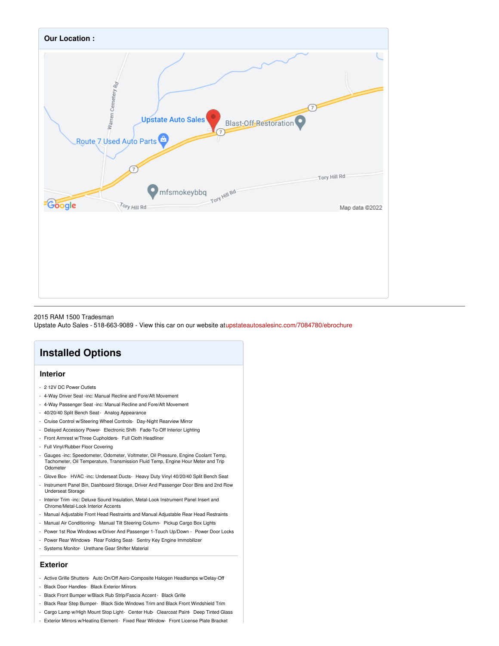

#### 2015 RAM 1500 Tradesman

Upstate Auto Sales - 518-663-9089 - View this car on our website a[tupstateautosalesinc.com/7084780/ebrochure](https://upstateautosalesinc.com/vehicle/7084780/2015-ram-1500-tradesman-hoosick-falls-new-york-12090/7084780/ebrochure)

## **Installed Options**

#### **Interior**

- 2 12V DC Power Outlets
- 4-Way Driver Seat -inc: Manual Recline and Fore/Aft Movement
- 4-Way Passenger Seat -inc: Manual Recline and Fore/Aft Movement
- 40/20/40 Split Bench Seat- Analog Appearance
- Cruise Control w/Steering Wheel Controls- Day-Night Rearview Mirror
- Delayed Accessory Power- Electronic Shift- Fade-To-Off Interior Lighting
- Front Armrest w/Three Cupholders- Full Cloth Headliner
- Full Vinyl/Rubber Floor Covering
- Gauges -inc: Speedometer, Odometer, Voltmeter, Oil Pressure, Engine Coolant Temp, Tachometer, Oil Temperature, Transmission Fluid Temp, Engine Hour Meter and Trip Odometer
- Glove Box- HVAC -inc: Underseat Ducts- Heavy Duty Vinyl 40/20/40 Split Bench Seat
- Instrument Panel Bin, Dashboard Storage, Driver And Passenger Door Bins and 2nd Row Underseat Storage
- Interior Trim -inc: Deluxe Sound Insulation, Metal-Look Instrument Panel Insert and Chrome/Metal-Look Interior Accents
- Manual Adjustable Front Head Restraints and Manual Adjustable Rear Head Restraints
- Manual Air Conditioning- Manual Tilt Steering Column- Pickup Cargo Box Lights
- Power 1st Row Windows w/Driver And Passenger 1-Touch Up/Down Power Door Locks
- Power Rear Windows- Rear Folding Seat- Sentry Key Engine Immobilizer
- Systems Monitor- Urethane Gear Shifter Material

#### **Exterior**

- Active Grille Shutters- Auto On/Off Aero-Composite Halogen Headlamps w/Delay-Off
- Black Door Handles- Black Exterior Mirrors
- Black Front Bumper w/Black Rub Strip/Fascia Accent- Black Grille
- Black Rear Step Bumper- Black Side Windows Trim and Black Front Windshield Trim
- Cargo Lamp w/High Mount Stop Light- Center Hub- Clearcoat Paint- Deep Tinted Glass
- Exterior Mirrors w/Heating Element- Fixed Rear Window- Front License Plate Bracket